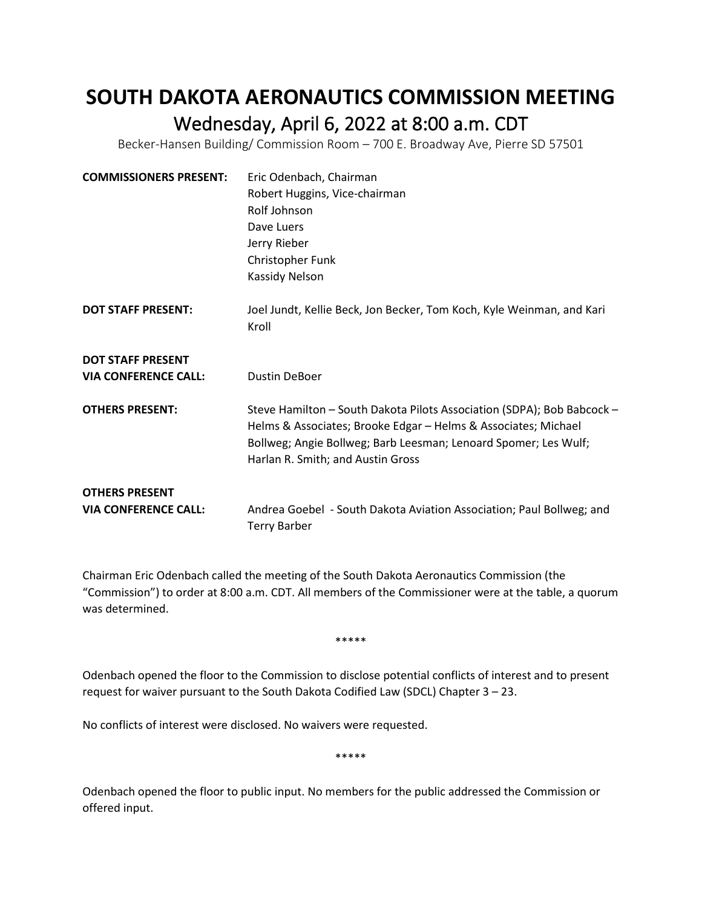## **SOUTH DAKOTA AERONAUTICS COMMISSION MEETING** Wednesday, April 6, 2022 at 8:00 a.m. CDT<br>Becker-Hansen Building/ Commission Room – 700 E. Broadway Ave, Pierre SD 57501

| <b>COMMISSIONERS PRESENT:</b> | Eric Odenbach, Chairman                                                                                                                                                                                                                          |
|-------------------------------|--------------------------------------------------------------------------------------------------------------------------------------------------------------------------------------------------------------------------------------------------|
|                               | Robert Huggins, Vice-chairman                                                                                                                                                                                                                    |
|                               | Rolf Johnson                                                                                                                                                                                                                                     |
|                               | Dave Luers                                                                                                                                                                                                                                       |
|                               | Jerry Rieber                                                                                                                                                                                                                                     |
|                               | Christopher Funk                                                                                                                                                                                                                                 |
|                               | Kassidy Nelson                                                                                                                                                                                                                                   |
| <b>DOT STAFF PRESENT:</b>     | Joel Jundt, Kellie Beck, Jon Becker, Tom Koch, Kyle Weinman, and Kari<br>Kroll                                                                                                                                                                   |
| <b>DOT STAFF PRESENT</b>      |                                                                                                                                                                                                                                                  |
| <b>VIA CONFERENCE CALL:</b>   | <b>Dustin DeBoer</b>                                                                                                                                                                                                                             |
| <b>OTHERS PRESENT:</b>        | Steve Hamilton - South Dakota Pilots Association (SDPA); Bob Babcock -<br>Helms & Associates; Brooke Edgar - Helms & Associates; Michael<br>Bollweg; Angie Bollweg; Barb Leesman; Lenoard Spomer; Les Wulf;<br>Harlan R. Smith; and Austin Gross |
| <b>OTHERS PRESENT</b>         |                                                                                                                                                                                                                                                  |
| <b>VIA CONFERENCE CALL:</b>   | Andrea Goebel - South Dakota Aviation Association; Paul Bollweg; and<br><b>Terry Barber</b>                                                                                                                                                      |

Chairman Eric Odenbach called the meeting of the South Dakota Aeronautics Commission (the "Commission") to order at 8:00 a.m. CDT. All members of the Commissioner were at the table, a quorum was determined.

\*\*\*\*\*

Odenbach opened the floor to the Commission to disclose potential conflicts of interest and to present request for waiver pursuant to the South Dakota Codified Law (SDCL) Chapter 3 – 23.

No conflicts of interest were disclosed. No waivers were requested.

\*\*\*\*\*

Odenbach opened the floor to public input. No members for the public addressed the Commission or offered input.